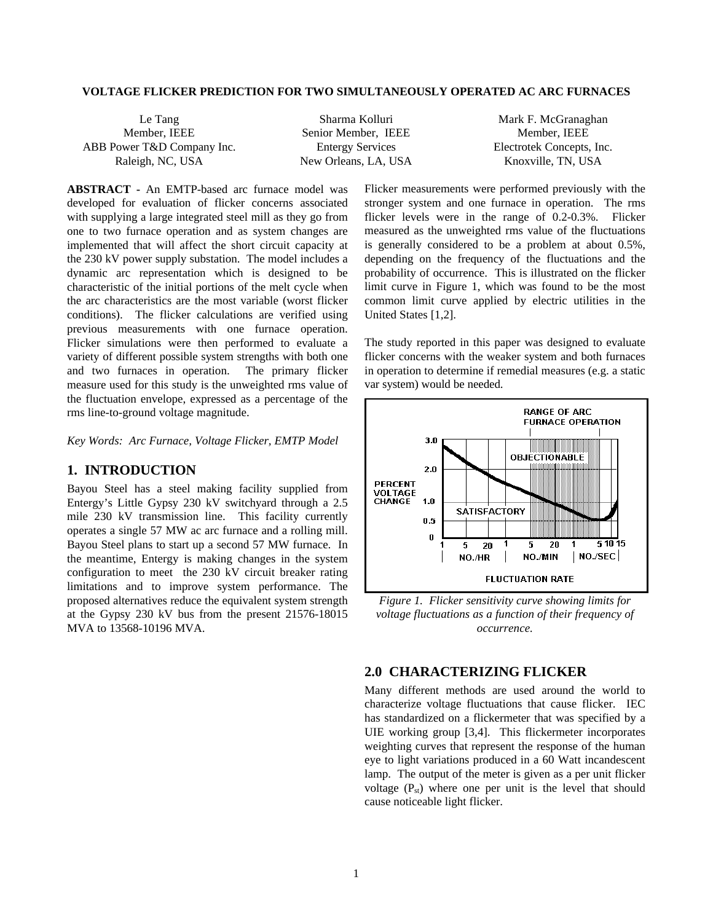#### **VOLTAGE FLICKER PREDICTION FOR TWO SIMULTANEOUSLY OPERATED AC ARC FURNACES**

| Le Tang                    | Sharma Kolluri          |  |
|----------------------------|-------------------------|--|
| Member, IEEE               | Senior Member, IEEE     |  |
| ABB Power T&D Company Inc. | <b>Entergy Services</b> |  |
| Raleigh, NC, USA           | New Orleans, LA, USA    |  |

**ABSTRACT -** An EMTP-based arc furnace model was developed for evaluation of flicker concerns associated with supplying a large integrated steel mill as they go from one to two furnace operation and as system changes are implemented that will affect the short circuit capacity at the 230 kV power supply substation. The model includes a dynamic arc representation which is designed to be characteristic of the initial portions of the melt cycle when the arc characteristics are the most variable (worst flicker conditions). The flicker calculations are verified using previous measurements with one furnace operation. Flicker simulations were then performed to evaluate a variety of different possible system strengths with both one and two furnaces in operation. The primary flicker measure used for this study is the unweighted rms value of the fluctuation envelope, expressed as a percentage of the rms line-to-ground voltage magnitude.

*Key Words: Arc Furnace, Voltage Flicker, EMTP Model*

### **1. INTRODUCTION**

Bayou Steel has a steel making facility supplied from Entergy's Little Gypsy 230 kV switchyard through a 2.5 mile 230 kV transmission line. This facility currently operates a single 57 MW ac arc furnace and a rolling mill. Bayou Steel plans to start up a second 57 MW furnace. In the meantime, Entergy is making changes in the system configuration to meet the 230 kV circuit breaker rating limitations and to improve system performance. The proposed alternatives reduce the equivalent system strength at the Gypsy 230 kV bus from the present 21576-18015 MVA to 13568-10196 MVA.

Mark F. McGranaghan Member, IEEE Electrotek Concepts, Inc. Knoxville, TN, USA

Flicker measurements were performed previously with the stronger system and one furnace in operation. The rms flicker levels were in the range of 0.2-0.3%. Flicker measured as the unweighted rms value of the fluctuations is generally considered to be a problem at about 0.5%, depending on the frequency of the fluctuations and the probability of occurrence. This is illustrated on the flicker limit curve in Figure 1, which was found to be the most common limit curve applied by electric utilities in the United States [1,2].

The study reported in this paper was designed to evaluate flicker concerns with the weaker system and both furnaces in operation to determine if remedial measures (e.g. a static var system) would be needed.



*Figure 1. Flicker sensitivity curve showing limits for voltage fluctuations as a function of their frequency of occurrence.*

### **2.0 CHARACTERIZING FLICKER**

Many different methods are used around the world to characterize voltage fluctuations that cause flicker. IEC has standardized on a flickermeter that was specified by a UIE working group [3,4]. This flickermeter incorporates weighting curves that represent the response of the human eye to light variations produced in a 60 Watt incandescent lamp. The output of the meter is given as a per unit flicker voltage  $(P_{st})$  where one per unit is the level that should cause noticeable light flicker.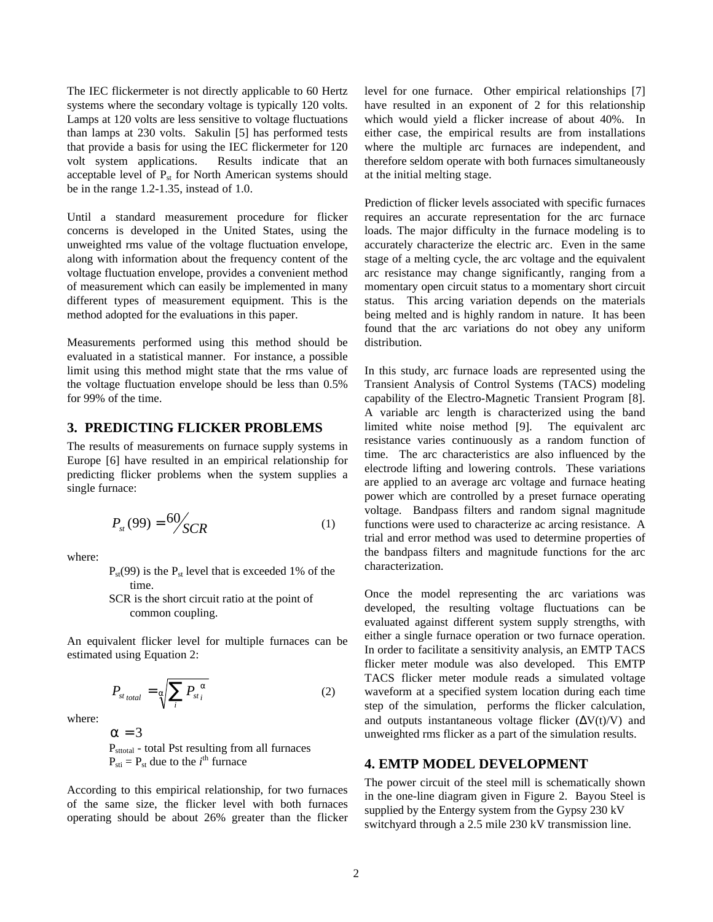The IEC flickermeter is not directly applicable to 60 Hertz systems where the secondary voltage is typically 120 volts. Lamps at 120 volts are less sensitive to voltage fluctuations than lamps at 230 volts. Sakulin [5] has performed tests that provide a basis for using the IEC flickermeter for 120 volt system applications. Results indicate that an acceptable level of  $P_{st}$  for North American systems should be in the range 1.2-1.35, instead of 1.0.

Until a standard measurement procedure for flicker concerns is developed in the United States, using the unweighted rms value of the voltage fluctuation envelope, along with information about the frequency content of the voltage fluctuation envelope, provides a convenient method of measurement which can easily be implemented in many different types of measurement equipment. This is the method adopted for the evaluations in this paper.

Measurements performed using this method should be evaluated in a statistical manner. For instance, a possible limit using this method might state that the rms value of the voltage fluctuation envelope should be less than 0.5% for 99% of the time.

#### **3. PREDICTING FLICKER PROBLEMS**

The results of measurements on furnace supply systems in Europe [6] have resulted in an empirical relationship for predicting flicker problems when the system supplies a single furnace:

$$
P_{st}(99) = \frac{60}{SCR} \tag{1}
$$

where:

 $P_{st}(99)$  is the  $P_{st}$  level that is exceeded 1% of the time.

SCR is the short circuit ratio at the point of common coupling.

An equivalent flicker level for multiple furnaces can be estimated using Equation 2:

$$
P_{\text{st total}} = \sqrt[3]{\sum_{i} P_{\text{st } i}} \tag{2}
$$

where:

 $a = 3$ P<sub>sttotal</sub> - total Pst resulting from all furnaces  $P_{\rm sti} = P_{\rm st}$  due to the *i*<sup>th</sup> furnace

According to this empirical relationship, for two furnaces of the same size, the flicker level with both furnaces operating should be about 26% greater than the flicker

level for one furnace. Other empirical relationships [7] have resulted in an exponent of 2 for this relationship which would yield a flicker increase of about 40%. In either case, the empirical results are from installations where the multiple arc furnaces are independent, and therefore seldom operate with both furnaces simultaneously at the initial melting stage.

Prediction of flicker levels associated with specific furnaces requires an accurate representation for the arc furnace loads. The major difficulty in the furnace modeling is to accurately characterize the electric arc. Even in the same stage of a melting cycle, the arc voltage and the equivalent arc resistance may change significantly, ranging from a momentary open circuit status to a momentary short circuit status. This arcing variation depends on the materials being melted and is highly random in nature. It has been found that the arc variations do not obey any uniform distribution.

In this study, arc furnace loads are represented using the Transient Analysis of Control Systems (TACS) modeling capability of the Electro-Magnetic Transient Program [8]. A variable arc length is characterized using the band limited white noise method [9]. The equivalent arc resistance varies continuously as a random function of time. The arc characteristics are also influenced by the electrode lifting and lowering controls. These variations are applied to an average arc voltage and furnace heating power which are controlled by a preset furnace operating voltage. Bandpass filters and random signal magnitude functions were used to characterize ac arcing resistance. A trial and error method was used to determine properties of the bandpass filters and magnitude functions for the arc characterization.

Once the model representing the arc variations was developed, the resulting voltage fluctuations can be evaluated against different system supply strengths, with either a single furnace operation or two furnace operation. In order to facilitate a sensitivity analysis, an EMTP TACS flicker meter module was also developed. This EMTP TACS flicker meter module reads a simulated voltage waveform at a specified system location during each time step of the simulation, performs the flicker calculation, and outputs instantaneous voltage flicker  $(\Delta V(t)/V)$  and unweighted rms flicker as a part of the simulation results.

### **4. EMTP MODEL DEVELOPMENT**

The power circuit of the steel mill is schematically shown in the one-line diagram given in Figure 2. Bayou Steel is supplied by the Entergy system from the Gypsy 230 kV switchyard through a 2.5 mile 230 kV transmission line.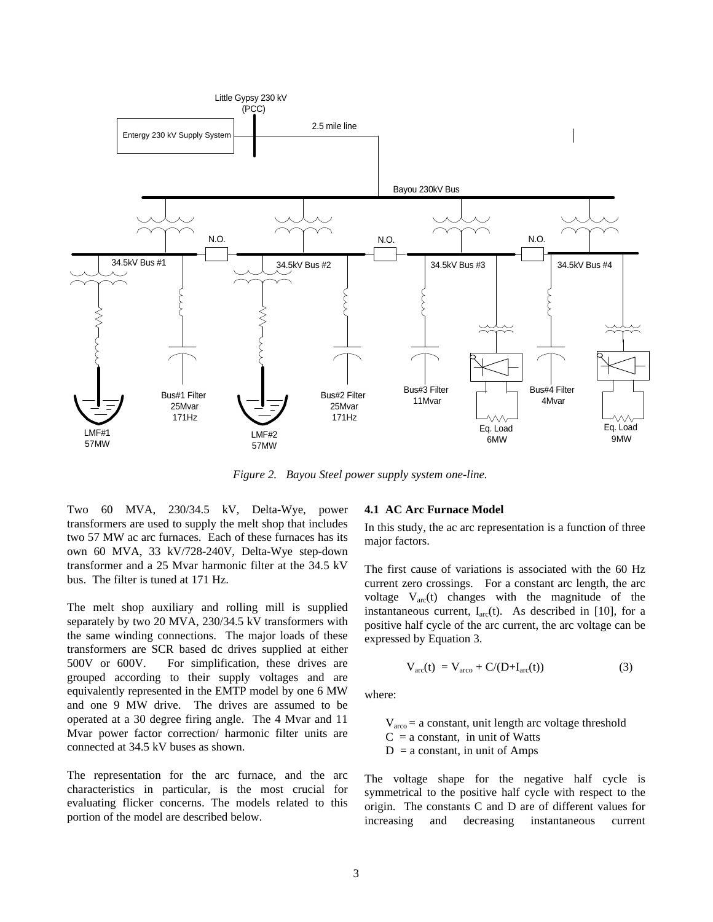

*Figure 2. Bayou Steel power supply system one-line.*

Two 60 MVA, 230/34.5 kV, Delta-Wye, power transformers are used to supply the melt shop that includes two 57 MW ac arc furnaces. Each of these furnaces has its own 60 MVA, 33 kV/728-240V, Delta-Wye step-down transformer and a 25 Mvar harmonic filter at the 34.5 kV bus. The filter is tuned at 171 Hz.

The melt shop auxiliary and rolling mill is supplied separately by two 20 MVA, 230/34.5 kV transformers with the same winding connections. The major loads of these transformers are SCR based dc drives supplied at either 500V or 600V. For simplification, these drives are grouped according to their supply voltages and are equivalently represented in the EMTP model by one 6 MW and one 9 MW drive. The drives are assumed to be operated at a 30 degree firing angle. The 4 Mvar and 11 Mvar power factor correction/ harmonic filter units are connected at 34.5 kV buses as shown.

The representation for the arc furnace, and the arc characteristics in particular, is the most crucial for evaluating flicker concerns. The models related to this portion of the model are described below.

#### **4.1 AC Arc Furnace Model**

In this study, the ac arc representation is a function of three major factors.

The first cause of variations is associated with the 60 Hz current zero crossings. For a constant arc length, the arc voltage  $V_{\text{arc}}(t)$  changes with the magnitude of the instantaneous current,  $I_{arc}(t)$ . As described in [10], for a positive half cycle of the arc current, the arc voltage can be expressed by Equation 3.

$$
V_{\text{arc}}(t) = V_{\text{arco}} + C/(D + I_{\text{arc}}(t))
$$
\n(3)

where:

 $V_{\text{arco}} = a$  constant, unit length arc voltage threshold  $C = a constant$ , in unit of Watts  $D = a$  constant, in unit of Amps

The voltage shape for the negative half cycle is symmetrical to the positive half cycle with respect to the origin. The constants C and D are of different values for increasing and decreasing instantaneous current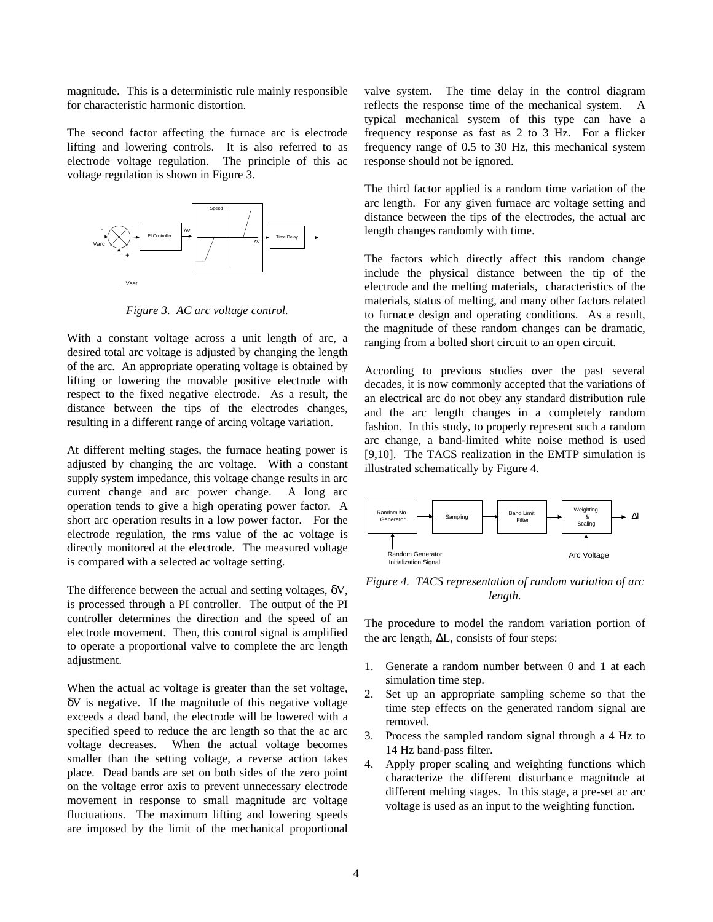magnitude. This is a deterministic rule mainly responsible for characteristic harmonic distortion.

The second factor affecting the furnace arc is electrode lifting and lowering controls. It is also referred to as electrode voltage regulation. The principle of this ac voltage regulation is shown in Figure 3.



*Figure 3. AC arc voltage control.*

With a constant voltage across a unit length of arc, a desired total arc voltage is adjusted by changing the length of the arc. An appropriate operating voltage is obtained by lifting or lowering the movable positive electrode with respect to the fixed negative electrode. As a result, the distance between the tips of the electrodes changes, resulting in a different range of arcing voltage variation.

At different melting stages, the furnace heating power is adjusted by changing the arc voltage. With a constant supply system impedance, this voltage change results in arc current change and arc power change. A long arc operation tends to give a high operating power factor. A short arc operation results in a low power factor. For the electrode regulation, the rms value of the ac voltage is directly monitored at the electrode. The measured voltage is compared with a selected ac voltage setting.

The difference between the actual and setting voltages, δV, is processed through a PI controller. The output of the PI controller determines the direction and the speed of an electrode movement. Then, this control signal is amplified to operate a proportional valve to complete the arc length adjustment.

When the actual ac voltage is greater than the set voltage, δV is negative. If the magnitude of this negative voltage exceeds a dead band, the electrode will be lowered with a specified speed to reduce the arc length so that the ac arc voltage decreases. When the actual voltage becomes smaller than the setting voltage, a reverse action takes place. Dead bands are set on both sides of the zero point on the voltage error axis to prevent unnecessary electrode movement in response to small magnitude arc voltage fluctuations. The maximum lifting and lowering speeds are imposed by the limit of the mechanical proportional valve system. The time delay in the control diagram reflects the response time of the mechanical system. A typical mechanical system of this type can have a frequency response as fast as 2 to 3 Hz. For a flicker frequency range of 0.5 to 30 Hz, this mechanical system response should not be ignored.

The third factor applied is a random time variation of the arc length. For any given furnace arc voltage setting and distance between the tips of the electrodes, the actual arc length changes randomly with time.

The factors which directly affect this random change include the physical distance between the tip of the electrode and the melting materials, characteristics of the materials, status of melting, and many other factors related to furnace design and operating conditions. As a result, the magnitude of these random changes can be dramatic, ranging from a bolted short circuit to an open circuit.

According to previous studies over the past several decades, it is now commonly accepted that the variations of an electrical arc do not obey any standard distribution rule and the arc length changes in a completely random fashion. In this study, to properly represent such a random arc change, a band-limited white noise method is used [9,10]. The TACS realization in the EMTP simulation is illustrated schematically by Figure 4.



*Figure 4. TACS representation of random variation of arc length.*

The procedure to model the random variation portion of the arc length, ΔL, consists of four steps:

- 1. Generate a random number between 0 and 1 at each simulation time step.
- 2. Set up an appropriate sampling scheme so that the time step effects on the generated random signal are removed.
- 3. Process the sampled random signal through a 4 Hz to 14 Hz band-pass filter.
- 4. Apply proper scaling and weighting functions which characterize the different disturbance magnitude at different melting stages. In this stage, a pre-set ac arc voltage is used as an input to the weighting function.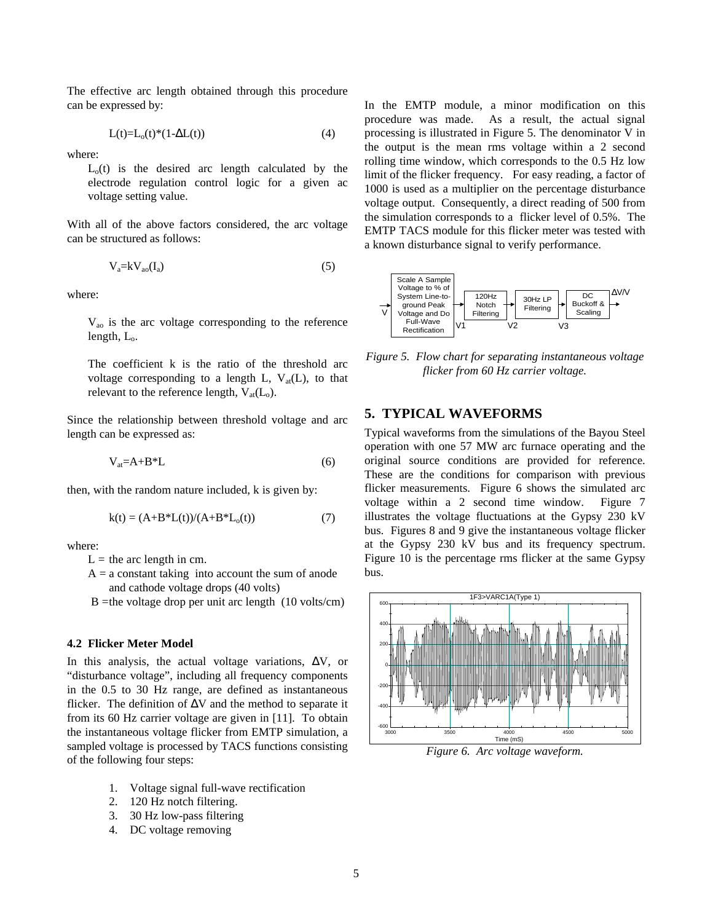The effective arc length obtained through this procedure can be expressed by:

$$
L(t)=L_o(t)^*(1-\Delta L(t))
$$
\n(4)

where:

 $L<sub>o</sub>(t)$  is the desired arc length calculated by the electrode regulation control logic for a given ac voltage setting value.

With all of the above factors considered, the arc voltage can be structured as follows:

$$
V_a = kV_{ao}(I_a) \tag{5}
$$

where:

 $V_{\text{ao}}$  is the arc voltage corresponding to the reference length,  $L_{0}$ .

The coefficient k is the ratio of the threshold arc voltage corresponding to a length L,  $V_{at}(L)$ , to that relevant to the reference length,  $V_{at}(L_0)$ .

Since the relationship between threshold voltage and arc length can be expressed as:

$$
V_{at} = A + B^* L \tag{6}
$$

then, with the random nature included, k is given by:

$$
k(t) = (A+B^*L(t))/(A+B^*L_0(t))
$$
\n(7)

where:

 $L =$  the arc length in cm.

- $A = a$  constant taking into account the sum of anode and cathode voltage drops (40 volts)
- B =the voltage drop per unit arc length  $(10 \text{ volts/cm})$

#### **4.2 Flicker Meter Model**

In this analysis, the actual voltage variations,  $\Delta V$ , or "disturbance voltage", including all frequency components in the 0.5 to 30 Hz range, are defined as instantaneous flicker. The definition of  $\Delta V$  and the method to separate it from its 60 Hz carrier voltage are given in [11]. To obtain the instantaneous voltage flicker from EMTP simulation, a sampled voltage is processed by TACS functions consisting of the following four steps:

- 1. Voltage signal full-wave rectification
- 2. 120 Hz notch filtering.
- 3. 30 Hz low-pass filtering
- 4. DC voltage removing

In the EMTP module, a minor modification on this procedure was made. As a result, the actual signal processing is illustrated in Figure 5. The denominator V in the output is the mean rms voltage within a 2 second rolling time window, which corresponds to the 0.5 Hz low limit of the flicker frequency. For easy reading, a factor of 1000 is used as a multiplier on the percentage disturbance voltage output. Consequently, a direct reading of 500 from the simulation corresponds to a flicker level of 0.5%. The EMTP TACS module for this flicker meter was tested with a known disturbance signal to verify performance.



*Figure 5. Flow chart for separating instantaneous voltage flicker from 60 Hz carrier voltage.*

### **5. TYPICAL WAVEFORMS**

Typical waveforms from the simulations of the Bayou Steel operation with one 57 MW arc furnace operating and the original source conditions are provided for reference. These are the conditions for comparison with previous flicker measurements. Figure 6 shows the simulated arc voltage within a 2 second time window. Figure 7 illustrates the voltage fluctuations at the Gypsy 230 kV bus. Figures 8 and 9 give the instantaneous voltage flicker at the Gypsy 230 kV bus and its frequency spectrum. Figure 10 is the percentage rms flicker at the same Gypsy bus.



*Figure 6. Arc voltage waveform.*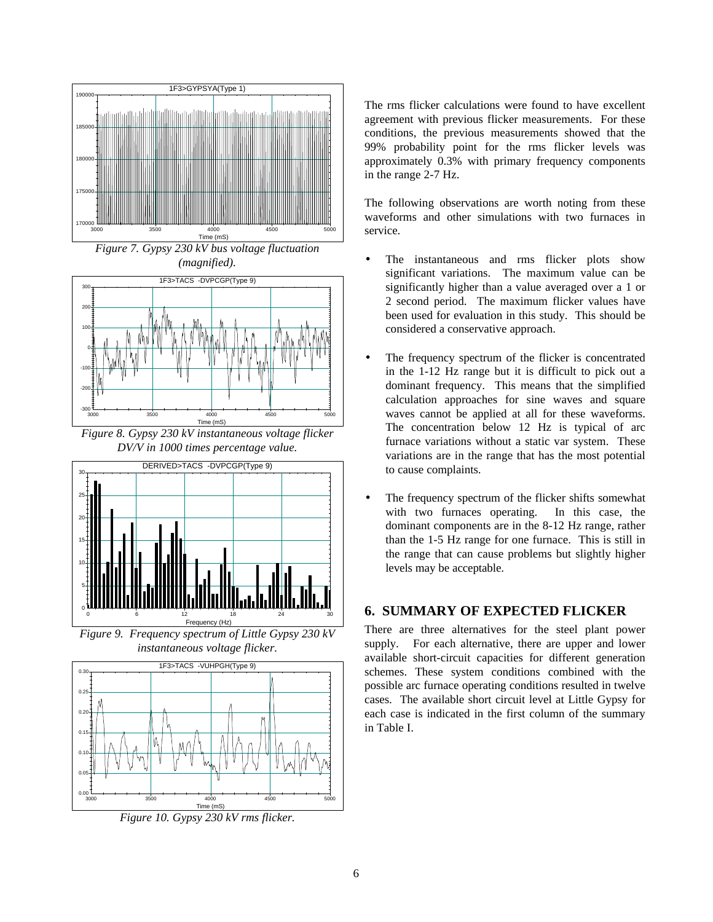

*Figure 7. Gypsy 230 kV bus voltage fluctuation (magnified).*



*Figure 8. Gypsy 230 kV instantaneous voltage flicker DV/V in 1000 times percentage value.*



*Figure 9. Frequency spectrum of Little Gypsy 230 kV instantaneous voltage flicker.*



*Figure 10. Gypsy 230 kV rms flicker.*

The rms flicker calculations were found to have excellent agreement with previous flicker measurements. For these conditions, the previous measurements showed that the 99% probability point for the rms flicker levels was approximately 0.3% with primary frequency components in the range 2-7 Hz.

The following observations are worth noting from these waveforms and other simulations with two furnaces in service.

- The instantaneous and rms flicker plots show significant variations. The maximum value can be significantly higher than a value averaged over a 1 or 2 second period. The maximum flicker values have been used for evaluation in this study. This should be considered a conservative approach.
- The frequency spectrum of the flicker is concentrated in the 1-12 Hz range but it is difficult to pick out a dominant frequency. This means that the simplified calculation approaches for sine waves and square waves cannot be applied at all for these waveforms. The concentration below 12 Hz is typical of arc furnace variations without a static var system. These variations are in the range that has the most potential to cause complaints.
- The frequency spectrum of the flicker shifts somewhat with two furnaces operating. In this case, the dominant components are in the 8-12 Hz range, rather than the 1-5 Hz range for one furnace. This is still in the range that can cause problems but slightly higher levels may be acceptable.

# **6. SUMMARY OF EXPECTED FLICKER**

There are three alternatives for the steel plant power supply. For each alternative, there are upper and lower available short-circuit capacities for different generation schemes. These system conditions combined with the possible arc furnace operating conditions resulted in twelve cases. The available short circuit level at Little Gypsy for each case is indicated in the first column of the summary in Table I.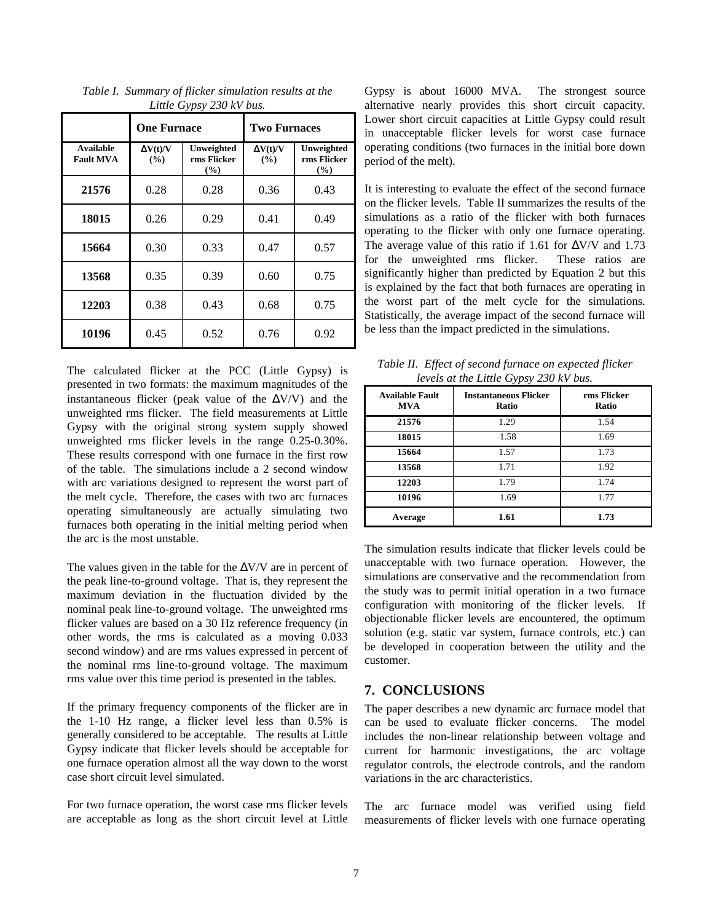|                                      | <b>One Furnace</b>     |                                  | <b>Two Furnaces</b>    |                                  |
|--------------------------------------|------------------------|----------------------------------|------------------------|----------------------------------|
| <b>Available</b><br><b>Fault MVA</b> | $\Delta V(t)/V$<br>(%) | Unweighted<br>rms Flicker<br>(%) | $\Delta V(t)/V$<br>(%) | Unweighted<br>rms Flicker<br>(%) |
| 21576                                | 0.28                   | 0.28                             | 0.36                   | 0.43                             |
| 18015                                | 0.26                   | 0.29                             | 0.41                   | 0.49                             |
| 15664                                | 0.30                   | 0.33                             | 0.47                   | 0.57                             |
| 13568                                | 0.35                   | 0.39                             | 0.60                   | 0.75                             |
| 12203                                | 0.38                   | 0.43                             | 0.68                   | 0.75                             |
| 10196                                | 0.45                   | 0.52                             | 0.76                   | 0.92                             |

*Table I. Summary of flicker simulation results at the Little Gypsy 230 kV bus.*

The calculated flicker at the PCC (Little Gypsy) is presented in two formats: the maximum magnitudes of the instantaneous flicker (peak value of the  $\Delta V/V$ ) and the unweighted rms flicker. The field measurements at Little Gypsy with the original strong system supply showed unweighted rms flicker levels in the range 0.25-0.30%. These results correspond with one furnace in the first row of the table. The simulations include a 2 second window with arc variations designed to represent the worst part of the melt cycle. Therefore, the cases with two arc furnaces operating simultaneously are actually simulating two furnaces both operating in the initial melting period when the arc is the most unstable.

The values given in the table for the  $\Delta$ V/V are in percent of the peak line-to-ground voltage. That is, they represent the maximum deviation in the fluctuation divided by the nominal peak line-to-ground voltage. The unweighted rms flicker values are based on a 30 Hz reference frequency (in other words, the rms is calculated as a moving 0.033 second window) and are rms values expressed in percent of the nominal rms line-to-ground voltage. The maximum rms value over this time period is presented in the tables.

If the primary frequency components of the flicker are in the 1-10 Hz range, a flicker level less than 0.5% is generally considered to be acceptable. The results at Little Gypsy indicate that flicker levels should be acceptable for one furnace operation almost all the way down to the worst case short circuit level simulated.

For two furnace operation, the worst case rms flicker levels are acceptable as long as the short circuit level at Little Gypsy is about 16000 MVA. The strongest source alternative nearly provides this short circuit capacity. Lower short circuit capacities at Little Gypsy could result in unacceptable flicker levels for worst case furnace operating conditions (two furnaces in the initial bore down period of the melt).

It is interesting to evaluate the effect of the second furnace on the flicker levels. Table II summarizes the results of the simulations as a ratio of the flicker with both furnaces operating to the flicker with only one furnace operating. The average value of this ratio if 1.61 for  $\Delta$ V/V and 1.73 for the unweighted rms flicker. These ratios are significantly higher than predicted by Equation 2 but this is explained by the fact that both furnaces are operating in the worst part of the melt cycle for the simulations. Statistically, the average impact of the second furnace will be less than the impact predicted in the simulations.

*Table II. Effect of second furnace on expected flicker levels at the Little Gypsy 230 kV bus.*

| <b>Available Fault</b><br><b>MVA</b> | <b>Instantaneous Flicker</b><br>Ratio | rms Flicker<br>Ratio |
|--------------------------------------|---------------------------------------|----------------------|
| 21576                                | 1.29                                  | 1.54                 |
| 18015                                | 1.58                                  | 1.69                 |
| 15664                                | 1.57                                  | 1.73                 |
| 13568                                | 1.71                                  | 1.92                 |
| 12203                                | 1.79                                  | 1.74                 |
| 10196                                | 1.69                                  | 1.77                 |
| Average                              | 1.61                                  | 1.73                 |

The simulation results indicate that flicker levels could be unacceptable with two furnace operation. However, the simulations are conservative and the recommendation from the study was to permit initial operation in a two furnace configuration with monitoring of the flicker levels. If objectionable flicker levels are encountered, the optimum solution (e.g. static var system, furnace controls, etc.) can be developed in cooperation between the utility and the customer.

## **7. CONCLUSIONS**

The paper describes a new dynamic arc furnace model that can be used to evaluate flicker concerns. The model includes the non-linear relationship between voltage and current for harmonic investigations, the arc voltage regulator controls, the electrode controls, and the random variations in the arc characteristics.

The arc furnace model was verified using field measurements of flicker levels with one furnace operating